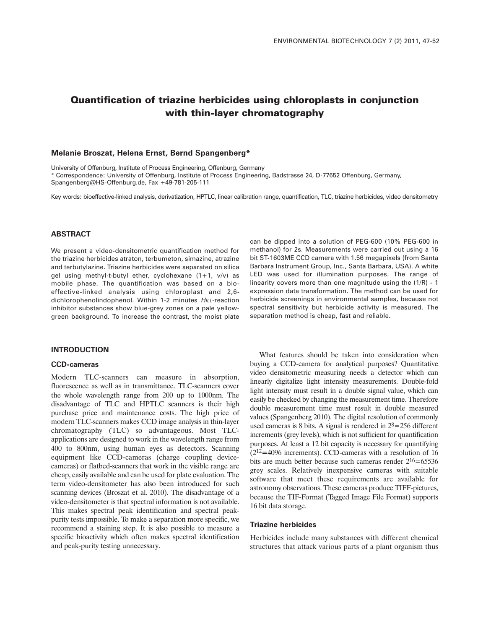# **Quantification of triazine herbicides using chloroplasts in conjunction with thin-layer chromatography**

## **Melanie Broszat, Helena Ernst, Bernd Spangenberg\***

University of Offenburg, Institute of Process Engineering, Offenburg, Germany

\* Correspondence: University of Offenburg, Institute of Process Engineering, Badstrasse 24, D-77652 Offenburg, Germany,

Spangenberg@HS-Offenburg.de, Fax +49-781-205-111

Key words: bioeffective-linked analysis, derivatization, HPTLC, linear calibration range, quantification, TLC, triazine herbicides, video densitometry

# **ABSTRACT**

We present a video-densitometric quantification method for the triazine herbicides atraton, terbumeton, simazine, atrazine and terbutylazine. Triazine herbicides were separated on silica gel using methyl-t-butyl ether, cyclohexane (1+1, v/v) as mobile phase. The quantification was based on a bioeffective-linked analysis using chloroplast and 2,6 dichlorophenolindophenol. Within 1-2 minutes HILL-reaction inhibitor substances show blue-grey zones on a pale yellowgreen background. To increase the contrast, the moist plate

## **INTRODUCTION**

#### **CCD-cameras**

Modern TLC-scanners can measure in absorption, fluorescence as well as in transmittance. TLC-scanners cover the whole wavelength range from 200 up to 1000nm. The disadvantage of TLC and HPTLC scanners is their high purchase price and maintenance costs. The high price of modern TLC-scanners makes CCD image analysis in thin-layer chromatography (TLC) so advantageous. Most TLCapplications are designed to work in the wavelength range from 400 to 800nm, using human eyes as detectors. Scanning equipment like CCD-cameras (charge coupling devicecameras) or flatbed-scanners that work in the visible range are cheap, easily available and can be used for plate evaluation. The term video-densitometer has also been introduced for such scanning devices (Broszat et al. 2010). The disadvantage of a video-densitometer is that spectral information is not available. This makes spectral peak identification and spectral peakpurity tests impossible. To make a separation more specific, we recommend a staining step. It is also possible to measure a specific bioactivity which often makes spectral identification and peak-purity testing unnecessary.

can be dipped into a solution of PEG-600 (10% PEG-600 in methanol) for 2s. Measurements were carried out using a 16 bit ST-1603ME CCD camera with 1.56 megapixels (from Santa Barbara Instrument Group, Inc., Santa Barbara, USA). A white LED was used for illumination purposes. The range of linearity covers more than one magnitude using the (1/R) - 1 expression data transformation. The method can be used for herbicide screenings in environmental samples, because not spectral sensitivity but herbicide activity is measured. The separation method is cheap, fast and reliable.

What features should be taken into consideration when buying a CCD-camera for analytical purposes? Quantitative video densitometric measuring needs a detector which can linearly digitalize light intensity measurements. Double-fold light intensity must result in a double signal value, which can easily be checked by changing the measurement time. Therefore double measurement time must result in double measured values (Spangenberg 2010). The digital resolution of commonly used cameras is 8 bits. A signal is rendered in  $2<sup>8</sup>=256$  different increments (grey levels), which is not sufficient for quantification purposes. At least a 12 bit capacity is necessary for quantifying  $(2^{12} = 4096$  increments). CCD-cameras with a resolution of 16 bits are much better because such cameras render  $2^{16}$  = 65536 grey scales. Relatively inexpensive cameras with suitable software that meet these requirements are available for astronomy observations. These cameras produce TIFF-pictures, because the TIF-Format (Tagged Image File Format) supports 16 bit data storage.

#### **Triazine herbicides**

Herbicides include many substances with different chemical structures that attack various parts of a plant organism thus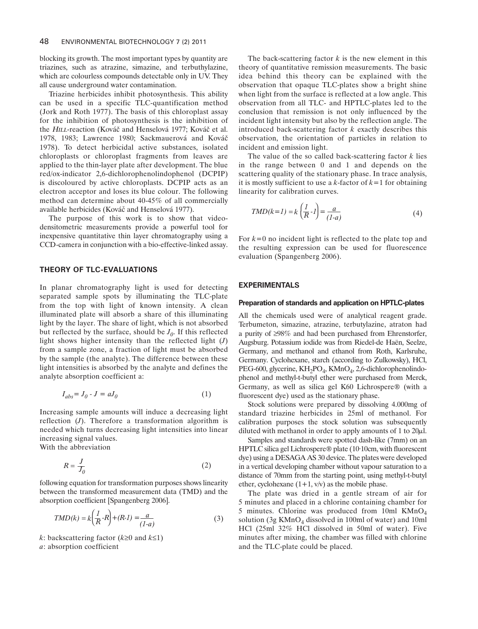blocking its growth. The most important types by quantity are triazines, such as atrazine, simazine, and terbuthylazine, which are colourless compounds detectable only in UV. They all cause underground water contamination.

Triazine herbicides inhibit photosynthesis. This ability can be used in a specific TLC-quantification method (Jork and Roth 1977). The basis of this chloroplast assay for the inhibition of photosynthesis is the inhibition of the *H1LL*-reaction (Kováč and Henselová 1977; Kováč et al. 1978, 1983; Lawrence 1980; Sackmauerová and Kovác 1978). To detect herbicidal active substances, isolated chloroplasts or chloroplast fragments from leaves are applied to the thin-layer plate after development. The blue red/ox-indicator 2,6-dichlorophenolindophenol (DCPIP) is discoloured by active chloroplasts. DCPIP acts as an electron acceptor and loses its blue colour. The following method can determine about 40-45% of all commercially available herbicides (Kovác and Henselová 1977). 980; Sackmauerová and Kováč<br>idal active substances, isolated<br>ast fragments from leaves are<br>plate after development. The blue<br>lorophenolindophenol (DCPIP)<br>chloroplasts. DCPIP acts as an<br>es its blue colour. The following<br>pou

The purpose of this work is to show that videodensitometric measurements provide a powerful tool for inexpensive quantitative thin layer chromatography using a CCD-camera in conjunction with a bio-effective-linked assay.

## **THEORY OF TLC-EVALUATIONS**

In planar chromatography light is used for detecting separated sample spots by illuminating the TLC-plate from the top with light of known intensity. A clean illuminated plate will absorb a share of this illuminating light by the layer. The share of light, which is not absorbed but reflected by the surface, should be  $J_0$ . If this reflected light shows higher intensity than the reflected light (*J*) from a sample zone, a fraction of light must be absorbed by the sample (the analyte). The difference between these light intensities is absorbed by the analyte and defines the analyte absorption coefficient a:

$$
I_{abs} = J_0 - J = aJ_0 \tag{1}
$$

Increasing sample amounts will induce a decreasing light reflection (*J*). Therefore a transformation algorithm is needed which turns decreasing light intensities into linear increasing signal values.

With the abbreviation

$$
R = \frac{J}{J_0} \tag{2}
$$

following equation for transformation purposes shows linearity between the transformed measurement data (TMD) and the absorption coefficient [Spangenberg 2006].

$$
TMD(k) = k\left(\frac{1}{R} \cdot R\right) + (R \cdot 1) = \frac{a}{(1 - a)}
$$
\n(3)

*k*: backscattering factor (*k*≥0 and *k*≤1) *a*: absorption coefficient

The back-scattering factor  $k$  is the new element in this theory of quantitative remission measurements. The basic idea behind this theory can be explained with the observation that opaque TLC-plates show a bright shine when light from the surface is reflected at a low angle. This observation from all TLC- and HPTLC-plates led to the conclusion that remission is not only influenced by the incident light intensity but also by the reflection angle. The introduced back-scattering factor *k* exactly describes this observation, the orientation of particles in relation to incident and emission light.

The value of the so called back-scattering factor *k* lies in the range between 0 and 1 and depends on the scattering quality of the stationary phase. In trace analysis, it is mostly sufficient to use a *k*-factor of *k*=1 for obtaining linearity for calibration curves.

$$
TMD(k=1) = k\left(\frac{1}{R} \cdot I\right) = \frac{a}{(1-a)}\tag{4}
$$

For *k*=0 no incident light is reflected to the plate top and the resulting expression can be used for fluorescence evaluation (Spangenberg 2006).

## **EXPERIMENTALS**

#### **Preparation of standards and application on HPTLC-plates**

All the chemicals used were of analytical reagent grade. Terbumeton, simazine, atrazine, terbutylazine, atraton had a purity of ≥98% and had been purchased from Ehrenstorfer, Augsburg. Potassium iodide was from Riedel-de Haën, Seelze, Germany, and methanol and ethanol from Roth, Karlsruhe, Germany. Cyclohexane, starch (according to Zulkowsky), HCl, PEG-600, glycerine, KH<sub>2</sub>PO<sub>4</sub>, KMnO<sub>4</sub>, 2,6-dichlorophenolindophenol and methyl-t-butyl ether were purchased from Merck, Germany, as well as silica gel K60 Lichrospere® (with a fluorescent dye) used as the stationary phase.

Stock solutions were prepared by dissolving 4.000mg of standard triazine herbicides in 25ml of methanol. For calibration purposes the stock solution was subsequently diluted with methanol in order to apply amounts of 1 to  $20\mu$ l.

Samples and standards were spotted dash-like (7mm) on an HPTLC silica gel Lichrospere® plate (10·10cm, with fluorescent dye) using a DESAGA AS 30 device. The plates were developed in a vertical developing chamber without vapour saturation to a distance of 70mm from the starting point, using methyl-t-butyl ether, cyclohexane  $(1+1, v/v)$  as the mobile phase.

The plate was dried in a gentle stream of air for 5 minutes and placed in a chlorine containing chamber for 5 minutes. Chlorine was produced from  $10ml$  KMnO<sub>4</sub> solution (3g  $KMnO<sub>4</sub>$  dissolved in 100ml of water) and 10ml HCl (25ml 32% HCl dissolved in 50ml of water). Five minutes after mixing, the chamber was filled with chlorine and the TLC-plate could be placed.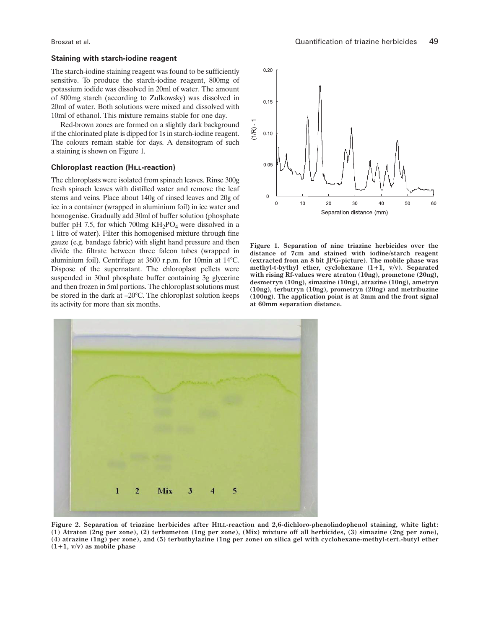#### **Staining with starch-iodine reagent**

The starch-iodine staining reagent was found to be sufficiently sensitive. To produce the starch-iodine reagent, 800mg of potassium iodide was dissolved in 20ml of water. The amount of 800mg starch (according to Zulkowsky) was dissolved in 20ml of water. Both solutions were mixed and dissolved with 10ml of ethanol. This mixture remains stable for one day.

Red-brown zones are formed on a slightly dark background if the chlorinated plate is dipped for 1s in starch-iodine reagent. The colours remain stable for days. A densitogram of such a staining is shown on Figure 1.

#### **Chloroplast reaction (HILL-reaction)**

The chloroplasts were isolated from spinach leaves. Rinse 300g fresh spinach leaves with distilled water and remove the leaf stems and veins. Place about 140g of rinsed leaves and 20g of ice in a container (wrapped in aluminium foil) in ice water and homogenise. Gradually add 30ml of buffer solution (phosphate buffer pH 7.5, for which 700mg  $KH_2PO_4$  were dissolved in a 1 litre of water). Filter this homogenised mixture through fine gauze (e.g. bandage fabric) with slight hand pressure and then divide the filtrate between three falcon tubes (wrapped in aluminium foil). Centrifuge at 3600 r.p.m. for 10min at 14°C. Dispose of the supernatant. The chloroplast pellets were suspended in 30ml phosphate buffer containing 3g glycerine and then frozen in 5ml portions. The chloroplast solutions must be stored in the dark at –20°C. The chloroplast solution keeps its activity for more than six months.



**Figure 1. Separation of nine triazine herbicides over the distance of 7cm and stained with iodine/starch reagent (extracted from an 8 bit JPG-picture). The mobile phase was methyl-t-bythyl ether, cyclohexane (1+1, v/v). Separated with rising Rf-values were atraton (10ng), prometone (20ng), desmetryn (10ng), simazine (10ng), atrazine (10ng), ametryn (10ng), terbutryn (10ng), prometryn (20ng) and metribuzine (100ng). The application point is at 3mm and the front signal at 60mm separation distance.**



**Figure 2. Separation of triazine herbicides after HILL-reaction and 2,6-dichloro-phenolindophenol staining, white light:** (1) Atraton (2ng per zone), (2) terbumeton (1ng per zone), (Mix) mixture off all herbicides, (3) simazine (2ng per zone), (4) atrazine (1ng) per zone), and (5) terbuthylazine (1ng per zone) on silica gel with cyclohexane-methyl-tert.-butyl ether **(1+1, v/v) as mobile phase**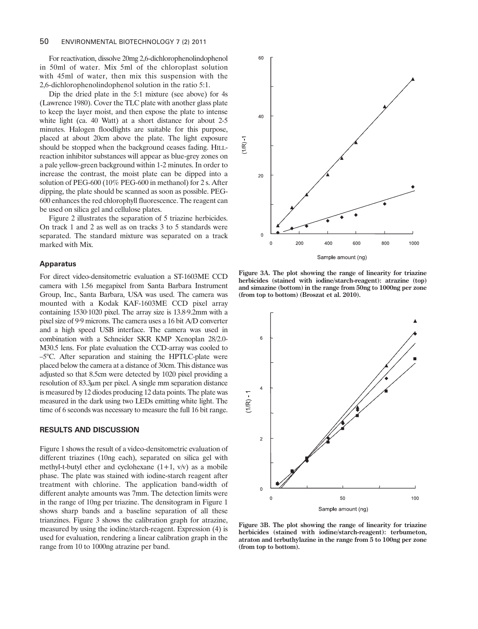For reactivation, dissolve 20mg 2,6-dichlorophenolindophenol in 50ml of water. Mix 5ml of the chloroplast solution with 45ml of water, then mix this suspension with the 2,6-dichlorophenolindophenol solution in the ratio 5:1.

Dip the dried plate in the 5:1 mixture (see above) for 4s (Lawrence 1980). Cover the TLC plate with another glass plate to keep the layer moist, and then expose the plate to intense white light (ca. 40 Watt) at a short distance for about 2-5 minutes. Halogen floodlights are suitable for this purpose, placed at about 20cm above the plate. The light exposure should be stopped when the background ceases fading. HILLreaction inhibitor substances will appear as blue-grey zones on a pale yellow-green background within 1-2 minutes. In order to increase the contrast, the moist plate can be dipped into a solution of PEG-600 (10% PEG-600 in methanol) for 2 s. After dipping, the plate should be scanned as soon as possible. PEG-600 enhances the red chlorophyll fluorescence. The reagent can be used on silica gel and cellulose plates.

Figure 2 illustrates the separation of 5 triazine herbicides. On track 1 and 2 as well as on tracks 3 to 5 standards were separated. The standard mixture was separated on a track marked with Mix.

#### **Apparatus**

For direct video-densitometric evaluation a ST-1603ME CCD camera with 1.56 megapixel from Santa Barbara Instrument Group, Inc., Santa Barbara, USA was used. The camera was mounted with a Kodak KAF-1603ME CCD pixel array containing 1530·1020 pixel. The array size is 13.8·9.2mm with a pixel size of 9·9 microns. The camera uses a 16 bit A/D converter and a high speed USB interface. The camera was used in combination with a Schneider SKR KMP Xenoplan 28/2.0- M30.5 lens. For plate evaluation the CCD-array was cooled to –5°C. After separation and staining the HPTLC-plate were placed below the camera at a distance of 30cm. This distance was adjusted so that 8.5cm were detected by 1020 pixel providing a resolution of 83.3µm per pixel. A single mm separation distance is measured by 12 diodes producing 12 data points. The plate was measured in the dark using two LEDs emitting white light. The time of 6 seconds was necessary to measure the full 16 bit range.

#### **RESULTS AND DISCUSSION**

Figure 1 shows the result of a video-densitometric evaluation of different triazines (10ng each), separated on silica gel with methyl-t-butyl ether and cyclohexane  $(1+1, v/v)$  as a mobile phase. The plate was stained with iodine-starch reagent after treatment with chlorine. The application band-width of different analyte amounts was 7mm. The detection limits were in the range of 10ng per triazine. The densitogram in Figure 1 shows sharp bands and a baseline separation of all these trianzines. Figure 3 shows the calibration graph for atrazine, measured by using the iodine/starch-reagent. Expression (4) is used for evaluation, rendering a linear calibration graph in the range from 10 to 1000ng atrazine per band.



**Figure 3A. The plot showing the range of linearity for triazine herbicides (stained with iodine/starch-reagent): atrazine (top) and simazine (bottom) in the range from 50ng to 1000ng per zone (from top to bottom) (Broszat et al. 2010).**



**Figure 3B. The plot showing the range of linearity for triazine herbicides (stained with iodine/starch-reagent): terbumeton, atraton and terbuthylazine in the range from 5 to 100ng per zone (from top to bottom).**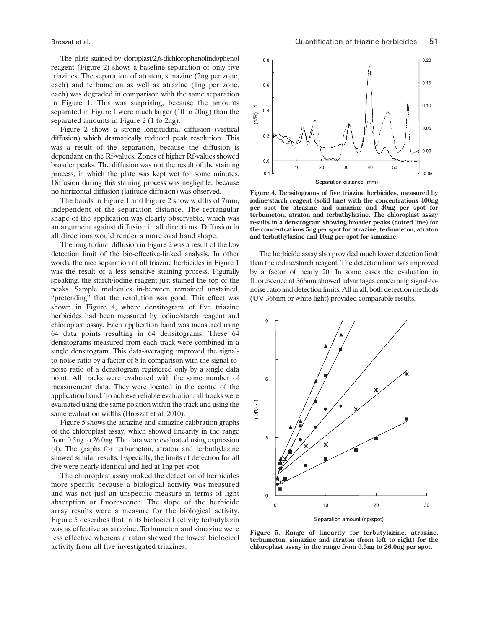The plate stained by cloroplast/2,6-dichlorophenolindophenol reagent (Figure 2) shows a baseline separation of only five triazines. The separation of atraton, simazine (2ng per zone, each) and terbumeton as well as atrazine (1ng per zone, each) was degraded in comparison with the same separation in Figure 1. This was surprising, because the amounts separated in Figure 1 were much larger (10 to 20ng) than the separated amounts in Figure 2 (1 to 2ng).

Figure 2 shows a strong longitudinal diffusion (vertical diffusion) which dramatically reduced peak resolution. This was a result of the separation, because the diffusion is dependant on the Rf-values. Zones of higher Rf-values showed broader peaks. The diffusion was not the result of the staining process, in which the plate was kept wet for some minutes. Diffusion during this staining process was negligible, because no horizontal diffusion (latitude diffusion) was observed.

The bands in Figure 1 and Figure 2 show widths of 7mm, independent of the separation distance. The rectangular shape of the application was clearly observable, which was an argument against diffusion in all directions. Diffusion in all directions would render a more oval band shape.

The longitudinal diffusion in Figure 2 was a result of the low detection limit of the bio-effective-linked analysis. In other words, the nice separation of all triazine herbicides in Figure 1 was the result of a less sensitive staining process. Figurally speaking, the starch/iodine reagent just stained the top of the peaks. Sample molecules in-between remained unstained, "pretending" that the resolution was good. This effect was shown in Figure 4, where densitogram of five triazine herbicides had been measured by iodine/starch reagent and chloroplast assay. Each application band was measured using 64 data points resulting in 64 densitograms. These 64 densitograms measured from each track were combined in a single densitogram. This data-averaging improved the signalto-noise ratio by a factor of 8 in comparison with the signal-tonoise ratio of a densitogram registered only by a single data point. All tracks were evaluated with the same number of measurement data. They were located in the centre of the application band. To achieve reliable evaluation, all tracks were evaluated using the same position within the track and using the same evaluation widths (Broszat et al. 2010).

Figure 5 shows the atrazine and simazine calibration graphs of the chloroplast assay, which showed linearity in the range from 0.5ng to 26.0ng. The data were evaluated using expression (4). The graphs for terbumeton, atraton and terbuthylazine showed similar results. Especially, the limits of detection for all five were nearly identical and lied at 1ng per spot.

The chloroplast assay maked the detection of herbicides more specific because a biological activity was measured and was not just an unspecific measure in terms of light absorption or fluorescence. The slope of the herbicide array results were a measure for the biological activity. Figure 5 describes that in its biolocical activity terbutylazin was as effective as atrazine. Terbumeton and simazine were less effective whereas atraton showed the lowest biolocical activity from all five investigated triazines.



**Figure 4. Densitograms of five triazine herbicides, measured by iodine/starch reagent (solid line) with the concentrations 400ng per spot for atrazine and simazine and 40ng per spot for terbumeton, atraton and terbuthylazine. The chloroplast assay results in a densitogram showing broader peaks (dotted line) for the concentrations 5ng per spot for atrazine, terbumeton, atraton and terbuthylazine and 10ng per spot for simazine.**

The herbicide assay also provided much lower detection limit than the iodine/starch reagent. The detection limit was improved by a factor of nearly 20. In some cases the evaluation in fluorescence at 366nm showed advantages concerning signal-tonoise ratio and detection limits. All in all, both detection methods (UV 366nm or white light) provided comparable results.



**Figure 5. Range of linearity for terbutylazine, atrazine, terbumeton, simazine and atraton (from left to right) for the chloroplast assay in the range from 0.5ng to 26.0ng per spot.**